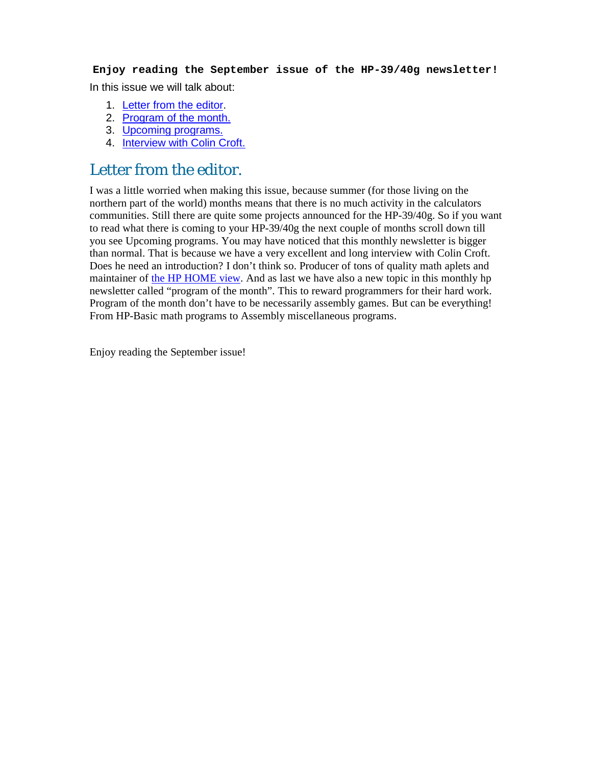**Enjoy reading the September issue of the HP-39/40g newsletter!**  In this issue we will talk about:

- 1. Letter from the editor.
- 2. Program of the month.
- 3. Upcoming programs.
- 4. Interview with Colin Croft.

### Letter from the editor.

I was a little worried when making this issue, because summer (for those living on the northern part of the world) months means that there is no much activity in the calculators communities. Still there are quite some projects announced for the HP-39/40g. So if you want to read what there is coming to your HP-39/40g the next couple of months scroll down till you see Upcoming programs. You may have noticed that this monthly newsletter is bigger than normal. That is because we have a very excellent and long interview with Colin Croft. Does he need an introduction? I don't think so. Producer of tons of quality math aplets and maintainer of the HP HOME view. And as last we have also a new topic in this monthly hp newsletter called "program of the month". This to reward programmers for their hard work. Program of the month don't have to be necessarily assembly games. But can be everything! From HP-Basic math programs to Assembly miscellaneous programs.

Enjoy reading the September issue!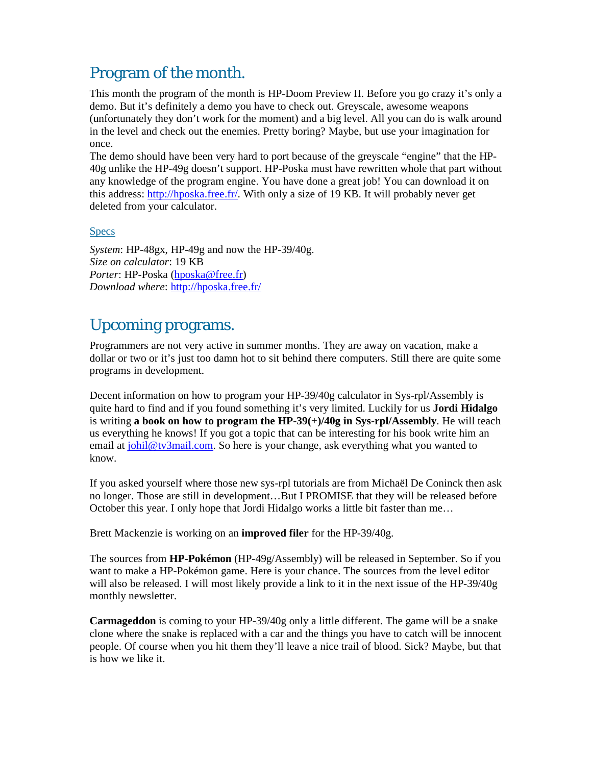# Program of the month.

This month the program of the month is HP-Doom Preview II. Before you go crazy it's only a demo. But it's definitely a demo you have to check out. Greyscale, awesome weapons (unfortunately they don't work for the moment) and a big level. All you can do is walk around in the level and check out the enemies. Pretty boring? Maybe, but use your imagination for once.

The demo should have been very hard to port because of the greyscale "engine" that the HP-40g unlike the HP-49g doesn't support. HP-Poska must have rewritten whole that part without any knowledge of the program engine. You have done a great job! You can download it on this address: http://hposka.free.fr/. With only a size of 19 KB. It will probably never get deleted from your calculator.

### **Specs**

*System*: HP-48gx, HP-49g and now the HP-39/40g. *Size on calculator*: 19 KB *Porter*: HP-Poska (hposka@free.fr) *Download where*: http://hposka.free.fr/

## Upcoming programs.

Programmers are not very active in summer months. They are away on vacation, make a dollar or two or it's just too damn hot to sit behind there computers. Still there are quite some programs in development.

Decent information on how to program your HP-39/40g calculator in Sys-rpl/Assembly is quite hard to find and if you found something it's very limited. Luckily for us **Jordi Hidalgo** is writing **a book on how to program the HP-39(+)/40g in Sys-rpl/Assembly**. He will teach us everything he knows! If you got a topic that can be interesting for his book write him an email at johil@tv3mail.com. So here is your change, ask everything what you wanted to know.

If you asked yourself where those new sys-rpl tutorials are from Michaël De Coninck then ask no longer. Those are still in development…But I PROMISE that they will be released before October this year. I only hope that Jordi Hidalgo works a little bit faster than me…

Brett Mackenzie is working on an **improved filer** for the HP-39/40g.

The sources from **HP-Pokémon** (HP-49g/Assembly) will be released in September. So if you want to make a HP-Pokémon game. Here is your chance. The sources from the level editor will also be released. I will most likely provide a link to it in the next issue of the HP-39/40g monthly newsletter.

**Carmageddon** is coming to your HP-39/40g only a little different. The game will be a snake clone where the snake is replaced with a car and the things you have to catch will be innocent people. Of course when you hit them they'll leave a nice trail of blood. Sick? Maybe, but that is how we like it.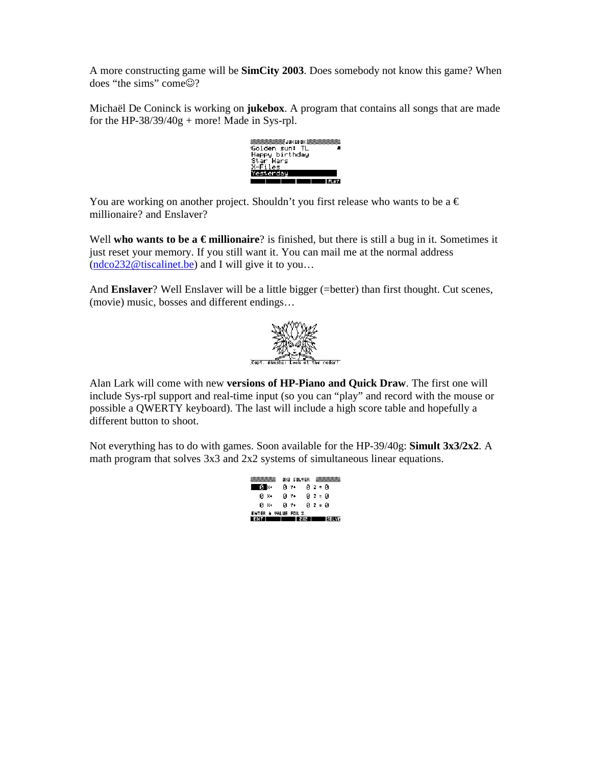A more constructing game will be **SimCity 2003**. Does somebody not know this game? When does "the sims" come☺?

Michaël De Coninck is working on **jukebox**. A program that contains all songs that are made for the HP-38/39/40g + more! Made in Sys-rpl.



You are working on another project. Shouldn't you first release who wants to be a  $\epsilon$ millionaire? and Enslaver?

Well **who wants to be a €millionaire**? is finished, but there is still a bug in it. Sometimes it just reset your memory. If you still want it. You can mail me at the normal address  $(ndco232@tiscalinet.be)$  and I will give it to you...

And **Enslaver**? Well Enslaver will be a little bigger (=better) than first thought. Cut scenes, (movie) music, bosses and different endings…



Alan Lark will come with new **versions of HP-Piano and Quick Draw**. The first one will include Sys-rpl support and real-time input (so you can "play" and record with the mouse or possible a QWERTY keyboard). The last will include a high score table and hopefully a different button to shoot.

Not everything has to do with games. Soon available for the HP-39/40g: **Simult 3x3/2x2**. A math program that solves 3x3 and 2x2 systems of simultaneous linear equations.

|                             | 9%9 SOLVER |         |   |
|-----------------------------|------------|---------|---|
|                             | 0 Y+       | 0 Z = 0 |   |
| Й Х+                        | Й Ү+       | 0 Z = 0 |   |
| ø x+                        | 0 Y+       | 0 Z = 0 |   |
| <b>ENTER A VALUE FOR X.</b> |            |         |   |
|                             |            |         | w |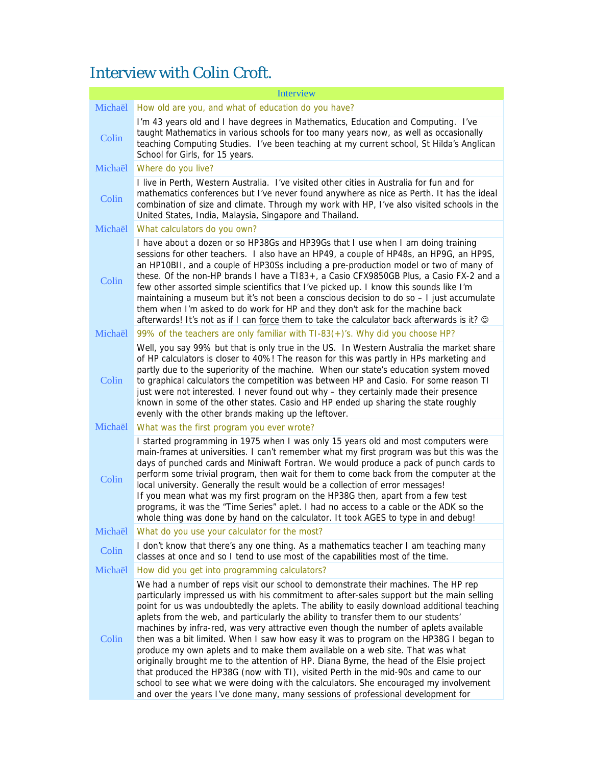# Interview with Colin Croft.

| <b>Interview</b> |                                                                                                                                                                                                                                                                                                                                                                                                                                                                                                                                                                                                                                                                                                                                                                                                                                                                                                                                                                                                         |  |
|------------------|---------------------------------------------------------------------------------------------------------------------------------------------------------------------------------------------------------------------------------------------------------------------------------------------------------------------------------------------------------------------------------------------------------------------------------------------------------------------------------------------------------------------------------------------------------------------------------------------------------------------------------------------------------------------------------------------------------------------------------------------------------------------------------------------------------------------------------------------------------------------------------------------------------------------------------------------------------------------------------------------------------|--|
| Michaël          | How old are you, and what of education do you have?                                                                                                                                                                                                                                                                                                                                                                                                                                                                                                                                                                                                                                                                                                                                                                                                                                                                                                                                                     |  |
| Colin            | I'm 43 years old and I have degrees in Mathematics, Education and Computing. I've<br>taught Mathematics in various schools for too many years now, as well as occasionally<br>teaching Computing Studies. I've been teaching at my current school, St Hilda's Anglican<br>School for Girls, for 15 years.                                                                                                                                                                                                                                                                                                                                                                                                                                                                                                                                                                                                                                                                                               |  |
| Michaël          | Where do you live?                                                                                                                                                                                                                                                                                                                                                                                                                                                                                                                                                                                                                                                                                                                                                                                                                                                                                                                                                                                      |  |
| Colin            | I live in Perth, Western Australia. I've visited other cities in Australia for fun and for<br>mathematics conferences but I've never found anywhere as nice as Perth. It has the ideal<br>combination of size and climate. Through my work with HP, I've also visited schools in the<br>United States, India, Malaysia, Singapore and Thailand.                                                                                                                                                                                                                                                                                                                                                                                                                                                                                                                                                                                                                                                         |  |
| Michaël          | What calculators do you own?                                                                                                                                                                                                                                                                                                                                                                                                                                                                                                                                                                                                                                                                                                                                                                                                                                                                                                                                                                            |  |
| Colin            | I have about a dozen or so HP38Gs and HP39Gs that I use when I am doing training<br>sessions for other teachers. I also have an HP49, a couple of HP48s, an HP9G, an HP9S,<br>an HP10BII, and a couple of HP30Ss including a pre-production model or two of many of<br>these. Of the non-HP brands I have a TI83+, a Casio CFX9850GB Plus, a Casio FX-2 and a<br>few other assorted simple scientifics that I've picked up. I know this sounds like I'm<br>maintaining a museum but it's not been a conscious decision to do so - I just accumulate<br>them when I'm asked to do work for HP and they don't ask for the machine back<br>afterwards! It's not as if I can force them to take the calculator back afterwards is it? @                                                                                                                                                                                                                                                                     |  |
| Michaël          | 99% of the teachers are only familiar with TI-83(+)'s. Why did you choose HP?                                                                                                                                                                                                                                                                                                                                                                                                                                                                                                                                                                                                                                                                                                                                                                                                                                                                                                                           |  |
| Colin            | Well, you say 99% but that is only true in the US. In Western Australia the market share<br>of HP calculators is closer to 40%! The reason for this was partly in HPs marketing and<br>partly due to the superiority of the machine. When our state's education system moved<br>to graphical calculators the competition was between HP and Casio. For some reason TI<br>just were not interested. I never found out why - they certainly made their presence<br>known in some of the other states. Casio and HP ended up sharing the state roughly<br>evenly with the other brands making up the leftover.                                                                                                                                                                                                                                                                                                                                                                                             |  |
| Michaël          | What was the first program you ever wrote?                                                                                                                                                                                                                                                                                                                                                                                                                                                                                                                                                                                                                                                                                                                                                                                                                                                                                                                                                              |  |
| Colin            | I started programming in 1975 when I was only 15 years old and most computers were<br>main-frames at universities. I can't remember what my first program was but this was the<br>days of punched cards and Miniwaft Fortran. We would produce a pack of punch cards to<br>perform some trivial program, then wait for them to come back from the computer at the<br>local university. Generally the result would be a collection of error messages!<br>If you mean what was my first program on the HP38G then, apart from a few test<br>programs, it was the "Time Series" aplet. I had no access to a cable or the ADK so the<br>whole thing was done by hand on the calculator. It took AGES to type in and debug!                                                                                                                                                                                                                                                                                  |  |
| Michaël          | What do you use your calculator for the most?                                                                                                                                                                                                                                                                                                                                                                                                                                                                                                                                                                                                                                                                                                                                                                                                                                                                                                                                                           |  |
| Colin            | I don't know that there's any one thing. As a mathematics teacher I am teaching many<br>classes at once and so I tend to use most of the capabilities most of the time.                                                                                                                                                                                                                                                                                                                                                                                                                                                                                                                                                                                                                                                                                                                                                                                                                                 |  |
| Michaël          | How did you get into programming calculators?                                                                                                                                                                                                                                                                                                                                                                                                                                                                                                                                                                                                                                                                                                                                                                                                                                                                                                                                                           |  |
| Colin            | We had a number of reps visit our school to demonstrate their machines. The HP rep<br>particularly impressed us with his commitment to after-sales support but the main selling<br>point for us was undoubtedly the aplets. The ability to easily download additional teaching<br>aplets from the web, and particularly the ability to transfer them to our students'<br>machines by infra-red, was very attractive even though the number of aplets available<br>then was a bit limited. When I saw how easy it was to program on the HP38G I began to<br>produce my own aplets and to make them available on a web site. That was what<br>originally brought me to the attention of HP. Diana Byrne, the head of the Elsie project<br>that produced the HP38G (now with TI), visited Perth in the mid-90s and came to our<br>school to see what we were doing with the calculators. She encouraged my involvement<br>and over the years I've done many, many sessions of professional development for |  |
|                  |                                                                                                                                                                                                                                                                                                                                                                                                                                                                                                                                                                                                                                                                                                                                                                                                                                                                                                                                                                                                         |  |